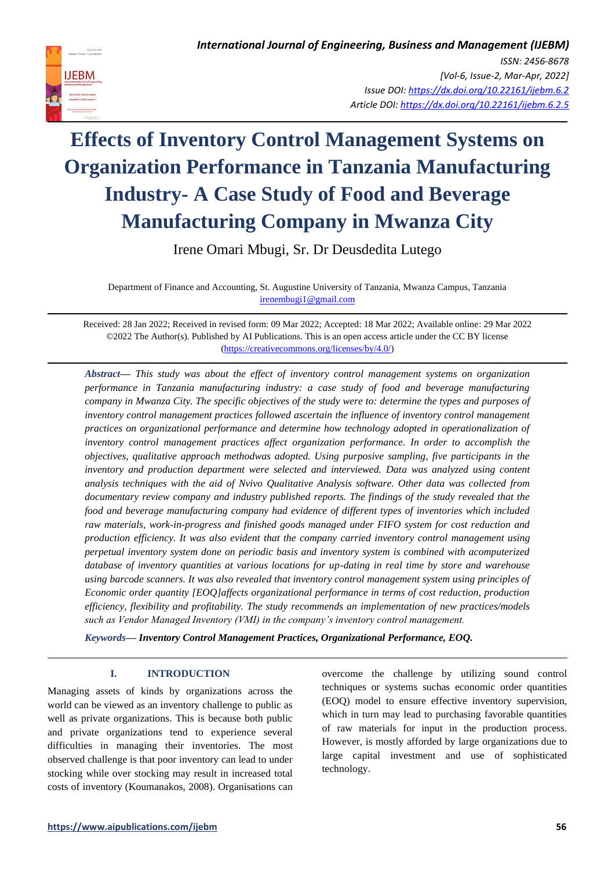

Irene Omari Mbugi, Sr. Dr Deusdedita Lutego

Department of Finance and Accounting, St. Augustine University of Tanzania, Mwanza Campus, Tanzania [irenembugi1@gmail.com](mailto:irenembugi1@gmail.com)

Received: 28 Jan 2022; Received in revised form: 09 Mar 2022; Accepted: 18 Mar 2022; Available online: 29 Mar 2022 ©2022 The Author(s). Published by AI Publications. This is an open access article under the CC BY license [\(https://creativecommons.org/licenses/by/4.0/\)](https://creativecommons.org/licenses/by/4.0/)

*Abstract— This study was about the effect of inventory control management systems on organization performance in Tanzania manufacturing industry: a case study of food and beverage manufacturing company in Mwanza City. The specific objectives of the study were to: determine the types and purposes of inventory control management practices followed ascertain the influence of inventory control management practices on organizational performance and determine how technology adopted in operationalization of inventory control management practices affect organization performance. In order to accomplish the objectives, qualitative approach methodwas adopted. Using purposive sampling, five participants in the inventory and production department were selected and interviewed. Data was analyzed using content analysis techniques with the aid of Nvivo Qualitative Analysis software. Other data was collected from documentary review company and industry published reports. The findings of the study revealed that the food and beverage manufacturing company had evidence of different types of inventories which included raw materials, work-in-progress and finished goods managed under FIFO system for cost reduction and production efficiency. It was also evident that the company carried inventory control management using perpetual inventory system done on periodic basis and inventory system is combined with acomputerized database of inventory quantities at various locations for up-dating in real time by store and warehouse using barcode scanners. It was also revealed that inventory control management system using principles of Economic order quantity [EOQ]affects organizational performance in terms of cost reduction, production efficiency, flexibility and profitability. The study recommends an implementation of new practices/models such as Vendor Managed Inventory (VMI) in the company's inventory control management.*

*Keywords— Inventory Control Management Practices, Organizational Performance, EOQ.*

# **I. INTRODUCTION**

Managing assets of kinds by organizations across the world can be viewed as an inventory challenge to public as well as private organizations. This is because both public and private organizations tend to experience several difficulties in managing their inventories. The most observed challenge is that poor inventory can lead to under stocking while over stocking may result in increased total costs of inventory (Koumanakos, 2008). Organisations can overcome the challenge by utilizing sound control techniques or systems suchas economic order quantities (EOQ) model to ensure effective inventory supervision, which in turn may lead to purchasing favorable quantities of raw materials for input in the production process. However, is mostly afforded by large organizations due to large capital investment and use of sophisticated technology.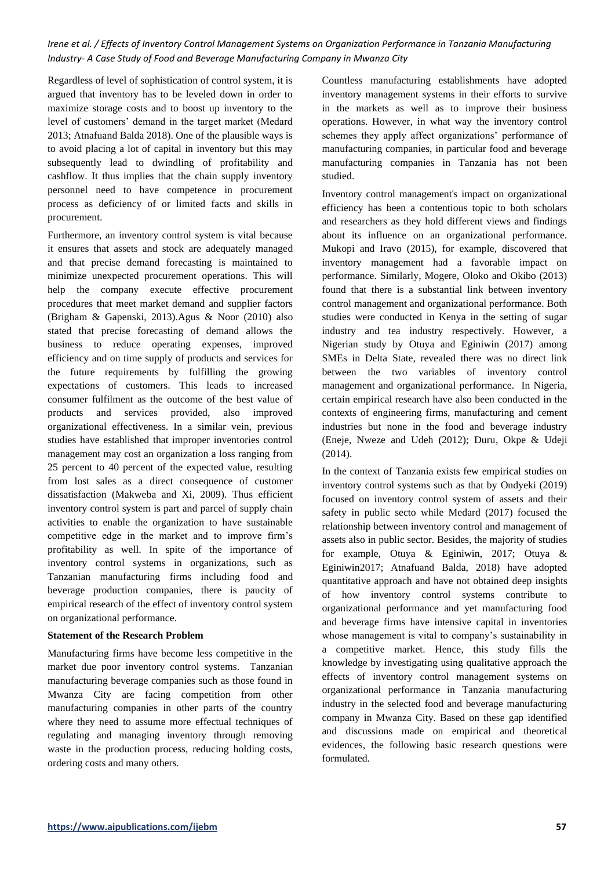Regardless of level of sophistication of control system, it is argued that inventory has to be leveled down in order to maximize storage costs and to boost up inventory to the level of customers' demand in the target market (Medard 2013; Atnafuand Balda 2018). One of the plausible ways is to avoid placing a lot of capital in inventory but this may subsequently lead to dwindling of profitability and cashflow. It thus implies that the chain supply inventory personnel need to have competence in procurement process as deficiency of or limited facts and skills in procurement.

Furthermore, an inventory control system is vital because it ensures that assets and stock are adequately managed and that precise demand forecasting is maintained to minimize unexpected procurement operations. This will help the company execute effective procurement procedures that meet market demand and supplier factors (Brigham & Gapenski, 2013).Agus & Noor (2010) also stated that precise forecasting of demand allows the business to reduce operating expenses, improved efficiency and on time supply of products and services for the future requirements by fulfilling the growing expectations of customers. This leads to increased consumer fulfilment as the outcome of the best value of products and services provided, also improved organizational effectiveness. In a similar vein, previous studies have established that improper inventories control management may cost an organization a loss ranging from 25 percent to 40 percent of the expected value, resulting from lost sales as a direct consequence of customer dissatisfaction (Makweba and Xi, 2009). Thus efficient inventory control system is part and parcel of supply chain activities to enable the organization to have sustainable competitive edge in the market and to improve firm's profitability as well. In spite of the importance of inventory control systems in organizations, such as Tanzanian manufacturing firms including food and beverage production companies, there is paucity of empirical research of the effect of inventory control system on organizational performance.

#### **Statement of the Research Problem**

Manufacturing firms have become less competitive in the market due poor inventory control systems. Tanzanian manufacturing beverage companies such as those found in Mwanza City are facing competition from other manufacturing companies in other parts of the country where they need to assume more effectual techniques of regulating and managing inventory through removing waste in the production process, reducing holding costs, ordering costs and many others.

Countless manufacturing establishments have adopted inventory management systems in their efforts to survive in the markets as well as to improve their business operations. However, in what way the inventory control schemes they apply affect organizations' performance of manufacturing companies, in particular food and beverage manufacturing companies in Tanzania has not been studied.

Inventory control management's impact on organizational efficiency has been a contentious topic to both scholars and researchers as they hold different views and findings about its influence on an organizational performance. Mukopi and Iravo (2015), for example, discovered that inventory management had a favorable impact on performance. Similarly, Mogere, Oloko and Okibo (2013) found that there is a substantial link between inventory control management and organizational performance. Both studies were conducted in Kenya in the setting of sugar industry and tea industry respectively. However, a Nigerian study by Otuya and Eginiwin (2017) among SMEs in Delta State, revealed there was no direct link between the two variables of inventory control management and organizational performance. In Nigeria, certain empirical research have also been conducted in the contexts of engineering firms, manufacturing and cement industries but none in the food and beverage industry (Eneje, Nweze and Udeh (2012); Duru, Okpe & Udeji (2014).

In the context of Tanzania exists few empirical studies on inventory control systems such as that by Ondyeki (2019) focused on inventory control system of assets and their safety in public secto while Medard (2017) focused the relationship between inventory control and management of assets also in public sector. Besides, the majority of studies for example, Otuya & Eginiwin, 2017; Otuya & Eginiwin2017; Atnafuand Balda, 2018) have adopted quantitative approach and have not obtained deep insights of how inventory control systems contribute to organizational performance and yet manufacturing food and beverage firms have intensive capital in inventories whose management is vital to company's sustainability in a competitive market. Hence, this study fills the knowledge by investigating using qualitative approach the effects of inventory control management systems on organizational performance in Tanzania manufacturing industry in the selected food and beverage manufacturing company in Mwanza City. Based on these gap identified and discussions made on empirical and theoretical evidences, the following basic research questions were formulated.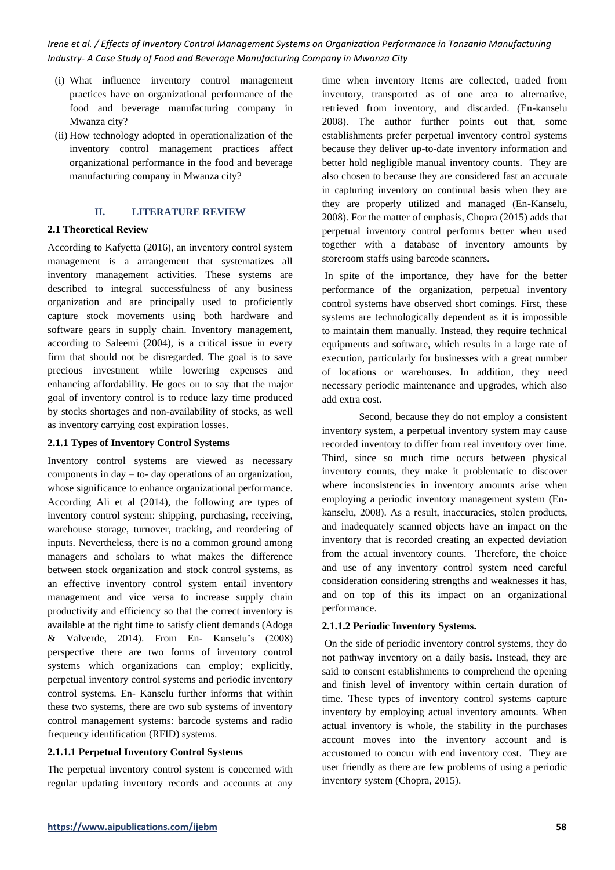- (i) What influence inventory control management practices have on organizational performance of the food and beverage manufacturing company in Mwanza city?
- (ii) How technology adopted in operationalization of the inventory control management practices affect organizational performance in the food and beverage manufacturing company in Mwanza city?

## **II. LITERATURE REVIEW**

## **2.1 Theoretical Review**

According to Kafyetta (2016), an inventory control system management is a arrangement that systematizes all inventory management activities. These systems are described to integral successfulness of any business organization and are principally used to proficiently capture stock movements using both hardware and software gears in supply chain. Inventory management, according to Saleemi (2004), is a critical issue in every firm that should not be disregarded. The goal is to save precious investment while lowering expenses and enhancing affordability. He goes on to say that the major goal of inventory control is to reduce lazy time produced by stocks shortages and non-availability of stocks, as well as inventory carrying cost expiration losses.

## **2.1.1 Types of Inventory Control Systems**

Inventory control systems are viewed as necessary components in day – to- day operations of an organization, whose significance to enhance organizational performance. According Ali et al (2014), the following are types of inventory control system: shipping, purchasing, receiving, warehouse storage, turnover, tracking, and reordering of inputs. Nevertheless, there is no a common ground among managers and scholars to what makes the difference between stock organization and stock control systems, as an effective inventory control system entail inventory management and vice versa to increase supply chain productivity and efficiency so that the correct inventory is available at the right time to satisfy client demands (Adoga & Valverde, 2014). From En- Kanselu's (2008) perspective there are two forms of inventory control systems which organizations can employ; explicitly, perpetual inventory control systems and periodic inventory control systems. En- Kanselu further informs that within these two systems, there are two sub systems of inventory control management systems: barcode systems and radio frequency identification (RFID) systems.

## **2.1.1.1 Perpetual Inventory Control Systems**

The perpetual inventory control system is concerned with regular updating inventory records and accounts at any time when inventory Items are collected, traded from inventory, transported as of one area to alternative, retrieved from inventory, and discarded. (En-kanselu 2008). The author further points out that, some establishments prefer perpetual inventory control systems because they deliver up-to-date inventory information and better hold negligible manual inventory counts. They are also chosen to because they are considered fast an accurate in capturing inventory on continual basis when they are they are properly utilized and managed (En-Kanselu, 2008). For the matter of emphasis, Chopra (2015) adds that perpetual inventory control performs better when used together with a database of inventory amounts by storeroom staffs using barcode scanners.

In spite of the importance, they have for the better performance of the organization, perpetual inventory control systems have observed short comings. First, these systems are technologically dependent as it is impossible to maintain them manually. Instead, they require technical equipments and software, which results in a large rate of execution, particularly for businesses with a great number of locations or warehouses. In addition, they need necessary periodic maintenance and upgrades, which also add extra cost.

Second, because they do not employ a consistent inventory system, a perpetual inventory system may cause recorded inventory to differ from real inventory over time. Third, since so much time occurs between physical inventory counts, they make it problematic to discover where inconsistencies in inventory amounts arise when employing a periodic inventory management system (Enkanselu, 2008). As a result, inaccuracies, stolen products, and inadequately scanned objects have an impact on the inventory that is recorded creating an expected deviation from the actual inventory counts. Therefore, the choice and use of any inventory control system need careful consideration considering strengths and weaknesses it has, and on top of this its impact on an organizational performance.

## **2.1.1.2 Periodic Inventory Systems.**

On the side of periodic inventory control systems, they do not pathway inventory on a daily basis. Instead, they are said to consent establishments to comprehend the opening and finish level of inventory within certain duration of time. These types of inventory control systems capture inventory by employing actual inventory amounts. When actual inventory is whole, the stability in the purchases account moves into the inventory account and is accustomed to concur with end inventory cost. They are user friendly as there are few problems of using a periodic inventory system (Chopra, 2015).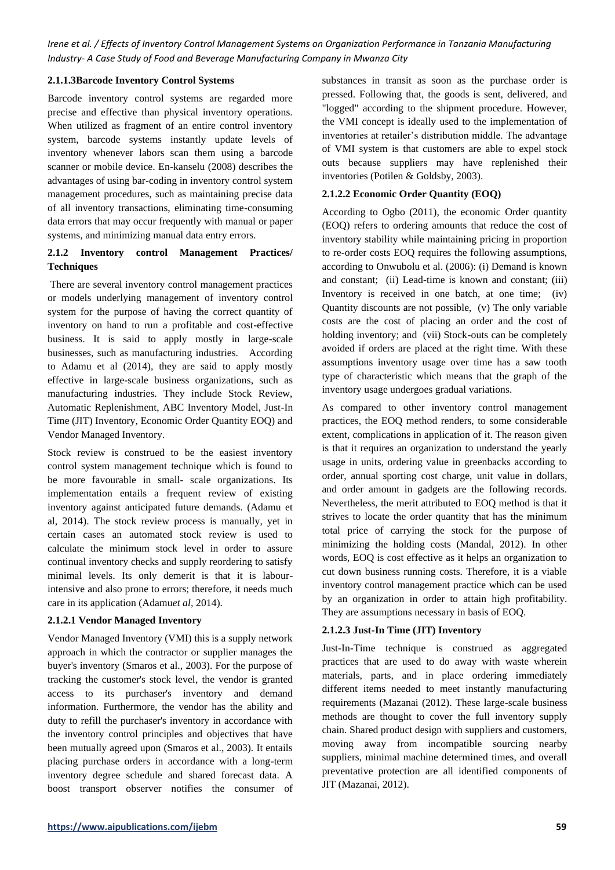## **2.1.1.3Barcode Inventory Control Systems**

Barcode inventory control systems are regarded more precise and effective than physical inventory operations. When utilized as fragment of an entire control inventory system, barcode systems instantly update levels of inventory whenever labors scan them using a barcode scanner or mobile device. En-kanselu (2008) describes the advantages of using bar-coding in inventory control system management procedures, such as maintaining precise data of all inventory transactions, eliminating time-consuming data errors that may occur frequently with manual or paper systems, and minimizing manual data entry errors.

# **2.1.2 Inventory control Management Practices/ Techniques**

There are several inventory control management practices or models underlying management of inventory control system for the purpose of having the correct quantity of inventory on hand to run a profitable and cost-effective business. It is said to apply mostly in large-scale businesses, such as manufacturing industries. According to Adamu et al (2014), they are said to apply mostly effective in large-scale business organizations, such as manufacturing industries. They include Stock Review, Automatic Replenishment, ABC Inventory Model, Just-In Time (JIT) Inventory, Economic Order Quantity EOQ) and Vendor Managed Inventory.

Stock review is construed to be the easiest inventory control system management technique which is found to be more favourable in small- scale organizations. Its implementation entails a frequent review of existing inventory against anticipated future demands. (Adamu et al, 2014). The stock review process is manually, yet in certain cases an automated stock review is used to calculate the minimum stock level in order to assure continual inventory checks and supply reordering to satisfy minimal levels. Its only demerit is that it is labourintensive and also prone to errors; therefore, it needs much care in its application (Adamu*et al,* 2014).

# **2.1.2.1 Vendor Managed Inventory**

Vendor Managed Inventory (VMI) this is a supply network approach in which the contractor or supplier manages the buyer's inventory (Smaros et al., 2003). For the purpose of tracking the customer's stock level, the vendor is granted access to its purchaser's inventory and demand information. Furthermore, the vendor has the ability and duty to refill the purchaser's inventory in accordance with the inventory control principles and objectives that have been mutually agreed upon (Smaros et al., 2003). It entails placing purchase orders in accordance with a long-term inventory degree schedule and shared forecast data. A boost transport observer notifies the consumer of substances in transit as soon as the purchase order is pressed. Following that, the goods is sent, delivered, and "logged" according to the shipment procedure. However, the VMI concept is ideally used to the implementation of inventories at retailer's distribution middle. The advantage of VMI system is that customers are able to expel stock outs because suppliers may have replenished their inventories (Potilen & Goldsby, 2003).

# **2.1.2.2 Economic Order Quantity (EOQ)**

According to Ogbo (2011), the economic Order quantity (EOQ) refers to ordering amounts that reduce the cost of inventory stability while maintaining pricing in proportion to re-order costs EOQ requires the following assumptions, according to Onwubolu et al. (2006): (i) Demand is known and constant; (ii) Lead-time is known and constant; (iii) Inventory is received in one batch, at one time; (iv) Quantity discounts are not possible, (v) The only variable costs are the cost of placing an order and the cost of holding inventory; and (vii) Stock-outs can be completely avoided if orders are placed at the right time. With these assumptions inventory usage over time has a saw tooth type of characteristic which means that the graph of the inventory usage undergoes gradual variations.

As compared to other inventory control management practices, the EOQ method renders, to some considerable extent, complications in application of it. The reason given is that it requires an organization to understand the yearly usage in units, ordering value in greenbacks according to order, annual sporting cost charge, unit value in dollars, and order amount in gadgets are the following records. Nevertheless, the merit attributed to EOQ method is that it strives to locate the order quantity that has the minimum total price of carrying the stock for the purpose of minimizing the holding costs (Mandal, 2012). In other words, EOQ is cost effective as it helps an organization to cut down business running costs. Therefore, it is a viable inventory control management practice which can be used by an organization in order to attain high profitability. They are assumptions necessary in basis of EOQ.

# **2.1.2.3 Just-In Time (JIT) Inventory**

Just-In-Time technique is construed as aggregated practices that are used to do away with waste wherein materials, parts, and in place ordering immediately different items needed to meet instantly manufacturing requirements (Mazanai (2012). These large-scale business methods are thought to cover the full inventory supply chain. Shared product design with suppliers and customers, moving away from incompatible sourcing nearby suppliers, minimal machine determined times, and overall preventative protection are all identified components of JIT (Mazanai, 2012).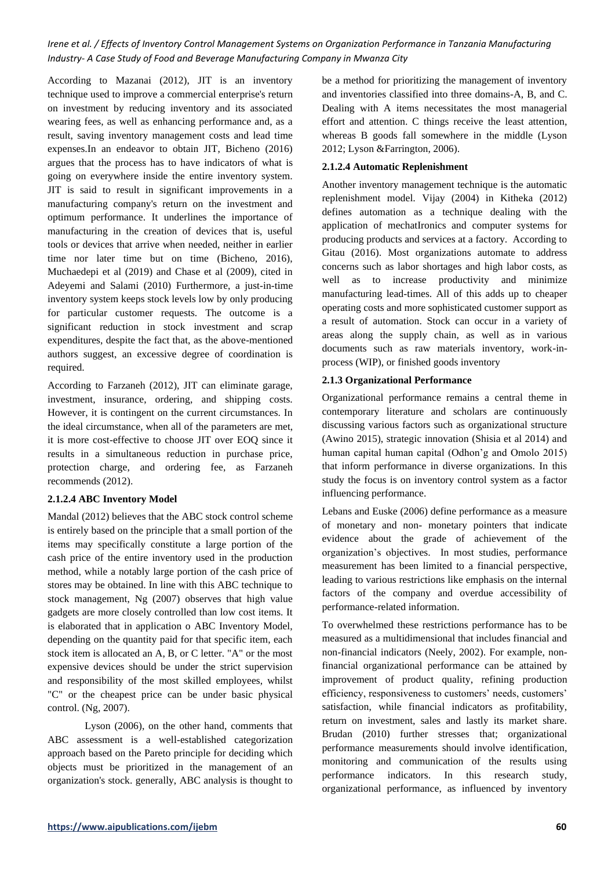According to Mazanai (2012), JIT is an inventory technique used to improve a commercial enterprise's return on investment by reducing inventory and its associated wearing fees, as well as enhancing performance and, as a result, saving inventory management costs and lead time expenses.In an endeavor to obtain JIT, Bicheno (2016) argues that the process has to have indicators of what is going on everywhere inside the entire inventory system. JIT is said to result in significant improvements in a manufacturing company's return on the investment and optimum performance. It underlines the importance of manufacturing in the creation of devices that is, useful tools or devices that arrive when needed, neither in earlier time nor later time but on time (Bicheno, 2016), Muchaedepi et al (2019) and Chase et al (2009), cited in Adeyemi and Salami (2010) Furthermore, a just-in-time inventory system keeps stock levels low by only producing for particular customer requests. The outcome is a significant reduction in stock investment and scrap expenditures, despite the fact that, as the above-mentioned authors suggest, an excessive degree of coordination is required.

According to Farzaneh (2012), JIT can eliminate garage, investment, insurance, ordering, and shipping costs. However, it is contingent on the current circumstances. In the ideal circumstance, when all of the parameters are met, it is more cost-effective to choose JIT over EOQ since it results in a simultaneous reduction in purchase price, protection charge, and ordering fee, as Farzaneh recommends (2012).

## **2.1.2.4 ABC Inventory Model**

Mandal (2012) believes that the ABC stock control scheme is entirely based on the principle that a small portion of the items may specifically constitute a large portion of the cash price of the entire inventory used in the production method, while a notably large portion of the cash price of stores may be obtained. In line with this ABC technique to stock management, Ng (2007) observes that high value gadgets are more closely controlled than low cost items. It is elaborated that in application o ABC Inventory Model, depending on the quantity paid for that specific item, each stock item is allocated an A, B, or C letter. "A" or the most expensive devices should be under the strict supervision and responsibility of the most skilled employees, whilst "C" or the cheapest price can be under basic physical control. (Ng, 2007).

Lyson (2006), on the other hand, comments that ABC assessment is a well-established categorization approach based on the Pareto principle for deciding which objects must be prioritized in the management of an organization's stock. generally, ABC analysis is thought to

be a method for prioritizing the management of inventory and inventories classified into three domains-A, B, and C. Dealing with A items necessitates the most managerial effort and attention. C things receive the least attention, whereas B goods fall somewhere in the middle (Lyson 2012; Lyson &Farrington, 2006).

# **2.1.2.4 Automatic Replenishment**

Another inventory management technique is the automatic replenishment model. Vijay (2004) in Kitheka (2012) defines automation as a technique dealing with the application of mechatIronics and computer systems for producing products and services at a factory. According to Gitau (2016). Most organizations automate to address concerns such as labor shortages and high labor costs, as well as to increase productivity and minimize manufacturing lead-times. All of this adds up to cheaper operating costs and more sophisticated customer support as a result of automation. Stock can occur in a variety of areas along the supply chain, as well as in various documents such as raw materials inventory, work-inprocess (WIP), or finished goods inventory

# **2.1.3 Organizational Performance**

Organizational performance remains a central theme in contemporary literature and scholars are continuously discussing various factors such as organizational structure (Awino 2015), strategic innovation (Shisia et al 2014) and human capital human capital (Odhon'g and Omolo 2015) that inform performance in diverse organizations. In this study the focus is on inventory control system as a factor influencing performance.

Lebans and Euske (2006) define performance as a measure of monetary and non- monetary pointers that indicate evidence about the grade of achievement of the organization's objectives. In most studies, performance measurement has been limited to a financial perspective, leading to various restrictions like emphasis on the internal factors of the company and overdue accessibility of performance-related information.

To overwhelmed these restrictions performance has to be measured as a multidimensional that includes financial and non-financial indicators (Neely, 2002). For example, nonfinancial organizational performance can be attained by improvement of product quality, refining production efficiency, responsiveness to customers' needs, customers' satisfaction, while financial indicators as profitability, return on investment, sales and lastly its market share. Brudan (2010) further stresses that; organizational performance measurements should involve identification, monitoring and communication of the results using performance indicators. In this research study, organizational performance, as influenced by inventory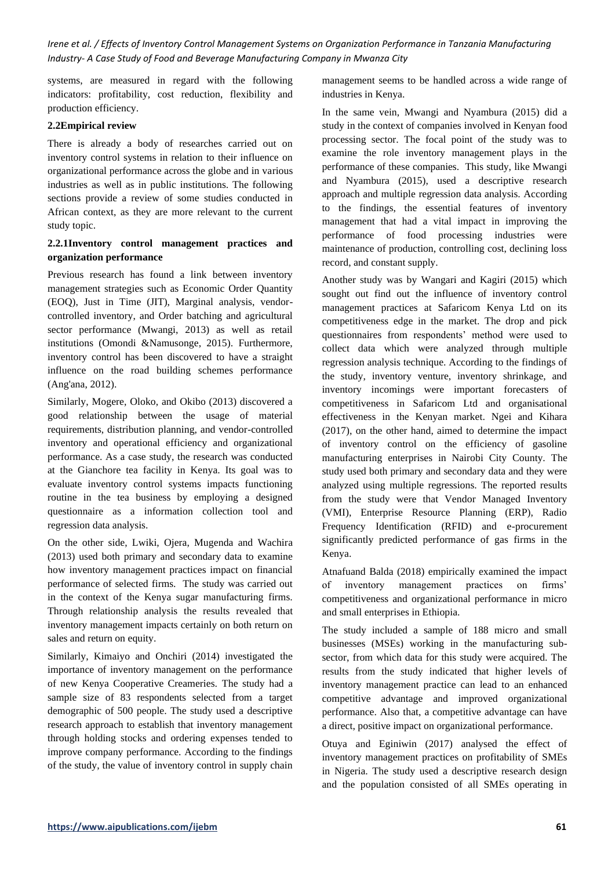systems, are measured in regard with the following indicators: profitability, cost reduction, flexibility and production efficiency.

#### **2.2Empirical review**

There is already a body of researches carried out on inventory control systems in relation to their influence on organizational performance across the globe and in various industries as well as in public institutions. The following sections provide a review of some studies conducted in African context, as they are more relevant to the current study topic.

# **2.2.1Inventory control management practices and organization performance**

Previous research has found a link between inventory management strategies such as Economic Order Quantity (EOQ), Just in Time (JIT), Marginal analysis, vendorcontrolled inventory, and Order batching and agricultural sector performance (Mwangi, 2013) as well as retail institutions (Omondi &Namusonge, 2015). Furthermore, inventory control has been discovered to have a straight influence on the road building schemes performance (Ang'ana, 2012).

Similarly, Mogere, Oloko, and Okibo (2013) discovered a good relationship between the usage of material requirements, distribution planning, and vendor-controlled inventory and operational efficiency and organizational performance. As a case study, the research was conducted at the Gianchore tea facility in Kenya. Its goal was to evaluate inventory control systems impacts functioning routine in the tea business by employing a designed questionnaire as a information collection tool and regression data analysis.

On the other side, Lwiki, Ojera, Mugenda and Wachira (2013) used both primary and secondary data to examine how inventory management practices impact on financial performance of selected firms. The study was carried out in the context of the Kenya sugar manufacturing firms. Through relationship analysis the results revealed that inventory management impacts certainly on both return on sales and return on equity.

Similarly, Kimaiyo and Onchiri (2014) investigated the importance of inventory management on the performance of new Kenya Cooperative Creameries. The study had a sample size of 83 respondents selected from a target demographic of 500 people. The study used a descriptive research approach to establish that inventory management through holding stocks and ordering expenses tended to improve company performance. According to the findings of the study, the value of inventory control in supply chain management seems to be handled across a wide range of industries in Kenya.

In the same vein, Mwangi and Nyambura (2015) did a study in the context of companies involved in Kenyan food processing sector. The focal point of the study was to examine the role inventory management plays in the performance of these companies. This study, like Mwangi and Nyambura (2015), used a descriptive research approach and multiple regression data analysis. According to the findings, the essential features of inventory management that had a vital impact in improving the performance of food processing industries were maintenance of production, controlling cost, declining loss record, and constant supply.

Another study was by Wangari and Kagiri (2015) which sought out find out the influence of inventory control management practices at Safaricom Kenya Ltd on its competitiveness edge in the market. The drop and pick questionnaires from respondents' method were used to collect data which were analyzed through multiple regression analysis technique. According to the findings of the study, inventory venture, inventory shrinkage, and inventory incomings were important forecasters of competitiveness in Safaricom Ltd and organisational effectiveness in the Kenyan market. Ngei and Kihara (2017), on the other hand, aimed to determine the impact of inventory control on the efficiency of gasoline manufacturing enterprises in Nairobi City County. The study used both primary and secondary data and they were analyzed using multiple regressions. The reported results from the study were that Vendor Managed Inventory (VMI), Enterprise Resource Planning (ERP), Radio Frequency Identification (RFID) and e-procurement significantly predicted performance of gas firms in the Kenya.

Atnafuand Balda (2018) empirically examined the impact of inventory management practices on firms' competitiveness and organizational performance in micro and small enterprises in Ethiopia.

The study included a sample of 188 micro and small businesses (MSEs) working in the manufacturing subsector, from which data for this study were acquired. The results from the study indicated that higher levels of inventory management practice can lead to an enhanced competitive advantage and improved organizational performance. Also that, a competitive advantage can have a direct, positive impact on organizational performance.

Otuya and Eginiwin (2017) analysed the effect of inventory management practices on profitability of SMEs in Nigeria. The study used a descriptive research design and the population consisted of all SMEs operating in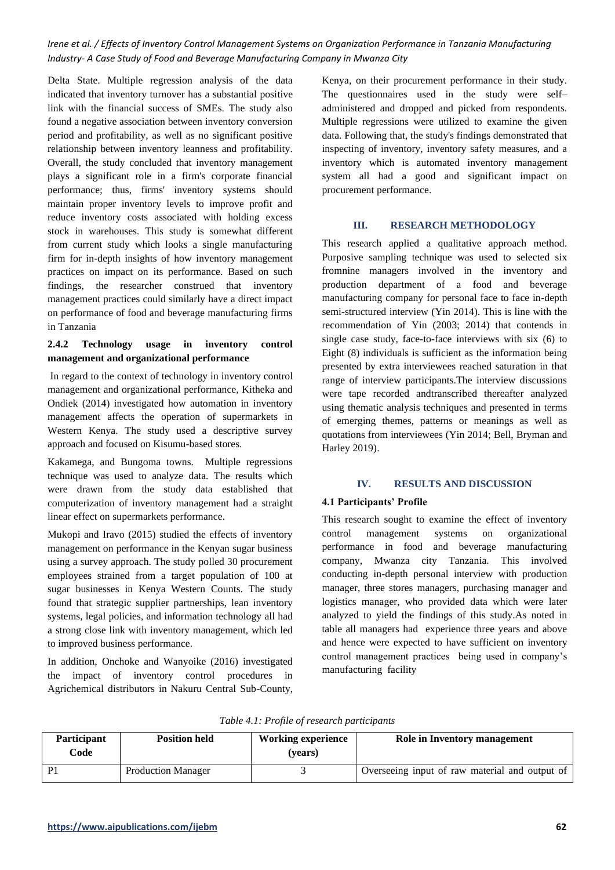Delta State. Multiple regression analysis of the data indicated that inventory turnover has a substantial positive link with the financial success of SMEs. The study also found a negative association between inventory conversion period and profitability, as well as no significant positive relationship between inventory leanness and profitability. Overall, the study concluded that inventory management plays a significant role in a firm's corporate financial performance; thus, firms' inventory systems should maintain proper inventory levels to improve profit and reduce inventory costs associated with holding excess stock in warehouses. This study is somewhat different from current study which looks a single manufacturing firm for in-depth insights of how inventory management practices on impact on its performance. Based on such findings, the researcher construed that inventory management practices could similarly have a direct impact on performance of food and beverage manufacturing firms in Tanzania

# **2.4.2 Technology usage in inventory control management and organizational performance**

In regard to the context of technology in inventory control management and organizational performance, Kitheka and Ondiek (2014) investigated how automation in inventory management affects the operation of supermarkets in Western Kenya. The study used a descriptive survey approach and focused on Kisumu-based stores.

Kakamega, and Bungoma towns. Multiple regressions technique was used to analyze data. The results which were drawn from the study data established that computerization of inventory management had a straight linear effect on supermarkets performance.

Mukopi and Iravo (2015) studied the effects of inventory management on performance in the Kenyan sugar business using a survey approach. The study polled 30 procurement employees strained from a target population of 100 at sugar businesses in Kenya Western Counts. The study found that strategic supplier partnerships, lean inventory systems, legal policies, and information technology all had a strong close link with inventory management, which led to improved business performance.

In addition, Onchoke and Wanyoike (2016) investigated the impact of inventory control procedures in Agrichemical distributors in Nakuru Central Sub-County, Kenya, on their procurement performance in their study. The questionnaires used in the study were self– administered and dropped and picked from respondents. Multiple regressions were utilized to examine the given data. Following that, the study's findings demonstrated that inspecting of inventory, inventory safety measures, and a inventory which is automated inventory management system all had a good and significant impact on procurement performance.

## **III. RESEARCH METHODOLOGY**

This research applied a qualitative approach method. Purposive sampling technique was used to selected six fromnine managers involved in the inventory and production department of a food and beverage manufacturing company for personal face to face in-depth semi-structured interview (Yin 2014). This is line with the recommendation of Yin (2003; 2014) that contends in single case study, face-to-face interviews with six (6) to Eight (8) individuals is sufficient as the information being presented by extra interviewees reached saturation in that range of interview participants.The interview discussions were tape recorded andtranscribed thereafter analyzed using thematic analysis techniques and presented in terms of emerging themes, patterns or meanings as well as quotations from interviewees (Yin 2014; Bell, Bryman and Harley 2019).

## **IV. RESULTS AND DISCUSSION**

## **4.1 Participants' Profile**

This research sought to examine the effect of inventory control management systems on organizational performance in food and beverage manufacturing company, Mwanza city Tanzania. This involved conducting in-depth personal interview with production manager, three stores managers, purchasing manager and logistics manager, who provided data which were later analyzed to yield the findings of this study.As noted in table all managers had experience three years and above and hence were expected to have sufficient on inventory control management practices being used in company's manufacturing facility

| Participant<br>Code | <b>Position held</b>      | <b>Working experience</b><br>(vears) | Role in Inventory management                   |
|---------------------|---------------------------|--------------------------------------|------------------------------------------------|
| P <sub>1</sub>      | <b>Production Manager</b> |                                      | Overseeing input of raw material and output of |

*Table 4.1: Profile of research participants*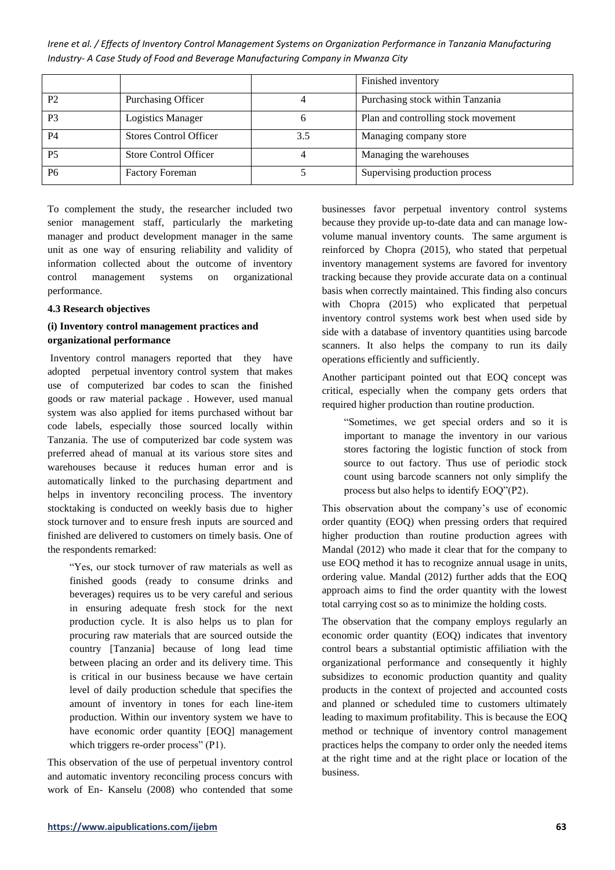|                |                               |     | Finished inventory                  |
|----------------|-------------------------------|-----|-------------------------------------|
| P <sub>2</sub> | Purchasing Officer            |     | Purchasing stock within Tanzania    |
| P3             | <b>Logistics Manager</b>      |     | Plan and controlling stock movement |
| <b>P4</b>      | <b>Stores Control Officer</b> | 3.5 | Managing company store              |
| <b>P5</b>      | Store Control Officer         |     | Managing the warehouses             |
| P6             | <b>Factory Foreman</b>        |     | Supervising production process      |

To complement the study, the researcher included two senior management staff, particularly the marketing manager and product development manager in the same unit as one way of ensuring reliability and validity of information collected about the outcome of inventory control management systems on organizational performance.

#### **4.3 Research objectives**

# **(i) Inventory control management practices and organizational performance**

Inventory control managers reported that they have adopted perpetual inventory control system that makes use of computerized bar codes to scan the finished goods or raw material package . However, used manual system was also applied for items purchased without bar code labels, especially those sourced locally within Tanzania. The use of computerized bar code system was preferred ahead of manual at its various store sites and warehouses because it reduces human error and is automatically linked to the purchasing department and helps in inventory reconciling process. The inventory stocktaking is conducted on weekly basis due to higher stock turnover and to ensure fresh inputs are sourced and finished are delivered to customers on timely basis. One of the respondents remarked:

"Yes, our stock turnover of raw materials as well as finished goods (ready to consume drinks and beverages) requires us to be very careful and serious in ensuring adequate fresh stock for the next production cycle. It is also helps us to plan for procuring raw materials that are sourced outside the country [Tanzania] because of long lead time between placing an order and its delivery time. This is critical in our business because we have certain level of daily production schedule that specifies the amount of inventory in tones for each line-item production. Within our inventory system we have to have economic order quantity [EOO] management which triggers re-order process" (P1).

This observation of the use of perpetual inventory control and automatic inventory reconciling process concurs with work of En- Kanselu (2008) who contended that some businesses favor perpetual inventory control systems because they provide up-to-date data and can manage lowvolume manual inventory counts. The same argument is reinforced by Chopra (2015), who stated that perpetual inventory management systems are favored for inventory tracking because they provide accurate data on a continual basis when correctly maintained. This finding also concurs with Chopra (2015) who explicated that perpetual inventory control systems work best when used side by side with a database of inventory quantities using barcode scanners. It also helps the company to run its daily operations efficiently and sufficiently.

Another participant pointed out that EOQ concept was critical, especially when the company gets orders that required higher production than routine production.

"Sometimes, we get special orders and so it is important to manage the inventory in our various stores factoring the logistic function of stock from source to out factory. Thus use of periodic stock count using barcode scanners not only simplify the process but also helps to identify EOQ"(P2).

This observation about the company's use of economic order quantity (EOQ) when pressing orders that required higher production than routine production agrees with Mandal (2012) who made it clear that for the company to use EOQ method it has to recognize annual usage in units, ordering value. Mandal (2012) further adds that the EOQ approach aims to find the order quantity with the lowest total carrying cost so as to minimize the holding costs.

The observation that the company employs regularly an economic order quantity (EOQ) indicates that inventory control bears a substantial optimistic affiliation with the organizational performance and consequently it highly subsidizes to economic production quantity and quality products in the context of projected and accounted costs and planned or scheduled time to customers ultimately leading to maximum profitability. This is because the EOQ method or technique of inventory control management practices helps the company to order only the needed items at the right time and at the right place or location of the business.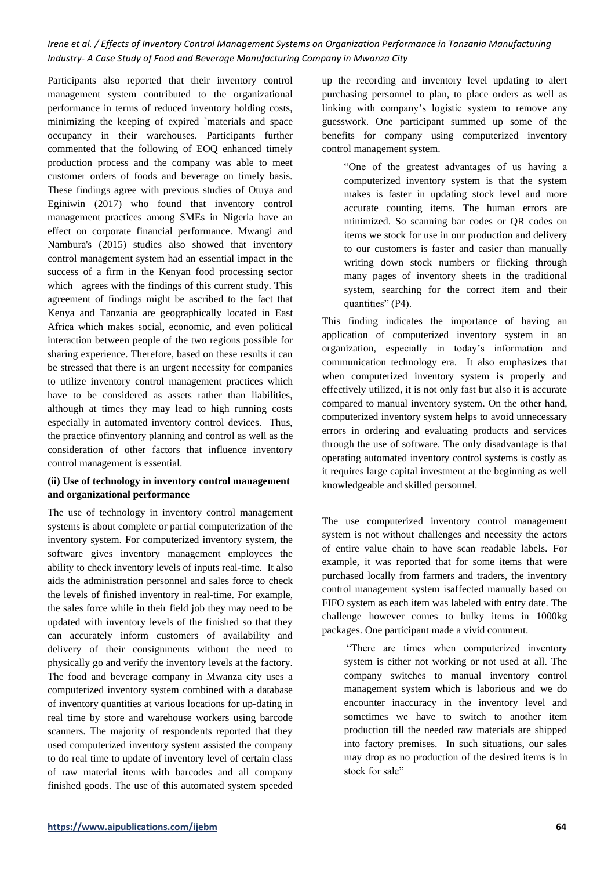Participants also reported that their inventory control management system contributed to the organizational performance in terms of reduced inventory holding costs, minimizing the keeping of expired `materials and space occupancy in their warehouses. Participants further commented that the following of EOQ enhanced timely production process and the company was able to meet customer orders of foods and beverage on timely basis. These findings agree with previous studies of Otuya and Eginiwin (2017) who found that inventory control management practices among SMEs in Nigeria have an effect on corporate financial performance. Mwangi and Nambura's (2015) studies also showed that inventory control management system had an essential impact in the success of a firm in the Kenyan food processing sector which agrees with the findings of this current study. This agreement of findings might be ascribed to the fact that Kenya and Tanzania are geographically located in East Africa which makes social, economic, and even political interaction between people of the two regions possible for sharing experience. Therefore, based on these results it can be stressed that there is an urgent necessity for companies to utilize inventory control management practices which have to be considered as assets rather than liabilities, although at times they may lead to high running costs especially in automated inventory control devices. Thus, the practice ofinventory planning and control as well as the consideration of other factors that influence inventory control management is essential.

# **(ii) Use of technology in inventory control management and organizational performance**

The use of technology in inventory control management systems is about complete or partial computerization of the inventory system. For computerized inventory system, the software gives inventory management employees the ability to check inventory levels of inputs real-time. It also aids the administration personnel and sales force to check the levels of finished inventory in real-time. For example, the sales force while in their field job they may need to be updated with inventory levels of the finished so that they can accurately inform customers of availability and delivery of their consignments without the need to physically go and verify the inventory levels at the factory. The food and beverage company in Mwanza city uses a computerized inventory system combined with a database of inventory quantities at various locations for up-dating in real time by store and warehouse workers using barcode scanners. The majority of respondents reported that they used computerized inventory system assisted the company to do real time to update of inventory level of certain class of raw material items with barcodes and all company finished goods. The use of this automated system speeded

up the recording and inventory level updating to alert purchasing personnel to plan, to place orders as well as linking with company's logistic system to remove any guesswork. One participant summed up some of the benefits for company using computerized inventory control management system.

"One of the greatest advantages of us having a computerized inventory system is that the system makes is faster in updating stock level and more accurate counting items. The human errors are minimized. So scanning bar codes or QR codes on items we stock for use in our production and delivery to our customers is faster and easier than manually writing down stock numbers or flicking through many pages of inventory sheets in the traditional system, searching for the correct item and their quantities" (P4).

This finding indicates the importance of having an application of computerized inventory system in an organization, especially in today's information and communication technology era. It also emphasizes that when computerized inventory system is properly and effectively utilized, it is not only fast but also it is accurate compared to manual inventory system. On the other hand, computerized inventory system helps to avoid unnecessary errors in ordering and evaluating products and services through the use of software. The only disadvantage is that operating automated inventory control systems is costly as it requires large capital investment at the beginning as well knowledgeable and skilled personnel.

The use computerized inventory control management system is not without challenges and necessity the actors of entire value chain to have scan readable labels. For example, it was reported that for some items that were purchased locally from farmers and traders, the inventory control management system isaffected manually based on FIFO system as each item was labeled with entry date. The challenge however comes to bulky items in 1000kg packages. One participant made a vivid comment.

"There are times when computerized inventory system is either not working or not used at all. The company switches to manual inventory control management system which is laborious and we do encounter inaccuracy in the inventory level and sometimes we have to switch to another item production till the needed raw materials are shipped into factory premises. In such situations, our sales may drop as no production of the desired items is in stock for sale"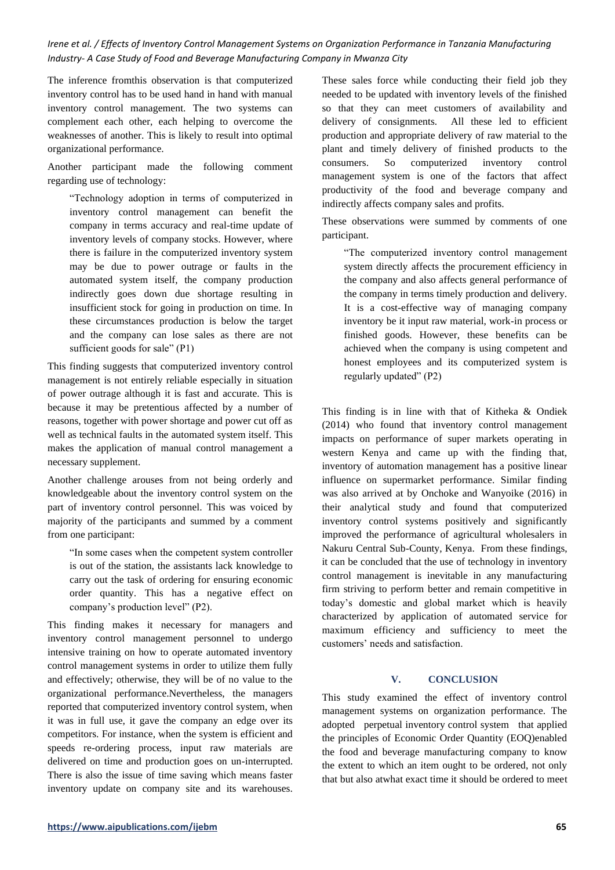The inference fromthis observation is that computerized inventory control has to be used hand in hand with manual inventory control management. The two systems can complement each other, each helping to overcome the weaknesses of another. This is likely to result into optimal organizational performance.

Another participant made the following comment regarding use of technology:

"Technology adoption in terms of computerized in inventory control management can benefit the company in terms accuracy and real-time update of inventory levels of company stocks. However, where there is failure in the computerized inventory system may be due to power outrage or faults in the automated system itself, the company production indirectly goes down due shortage resulting in insufficient stock for going in production on time. In these circumstances production is below the target and the company can lose sales as there are not sufficient goods for sale" (P1)

This finding suggests that computerized inventory control management is not entirely reliable especially in situation of power outrage although it is fast and accurate. This is because it may be pretentious affected by a number of reasons, together with power shortage and power cut off as well as technical faults in the automated system itself. This makes the application of manual control management a necessary supplement.

Another challenge arouses from not being orderly and knowledgeable about the inventory control system on the part of inventory control personnel. This was voiced by majority of the participants and summed by a comment from one participant:

"In some cases when the competent system controller is out of the station, the assistants lack knowledge to carry out the task of ordering for ensuring economic order quantity. This has a negative effect on company's production level" (P2).

This finding makes it necessary for managers and inventory control management personnel to undergo intensive training on how to operate automated inventory control management systems in order to utilize them fully and effectively; otherwise, they will be of no value to the organizational performance.Nevertheless, the managers reported that computerized inventory control system, when it was in full use, it gave the company an edge over its competitors. For instance, when the system is efficient and speeds re-ordering process, input raw materials are delivered on time and production goes on un-interrupted. There is also the issue of time saving which means faster inventory update on company site and its warehouses. These sales force while conducting their field job they needed to be updated with inventory levels of the finished so that they can meet customers of availability and delivery of consignments. All these led to efficient production and appropriate delivery of raw material to the plant and timely delivery of finished products to the consumers. So computerized inventory control management system is one of the factors that affect productivity of the food and beverage company and indirectly affects company sales and profits.

These observations were summed by comments of one participant.

"The computerized inventory control management system directly affects the procurement efficiency in the company and also affects general performance of the company in terms timely production and delivery. It is a cost-effective way of managing company inventory be it input raw material, work-in process or finished goods. However, these benefits can be achieved when the company is using competent and honest employees and its computerized system is regularly updated" (P2)

This finding is in line with that of Kitheka & Ondiek (2014) who found that inventory control management impacts on performance of super markets operating in western Kenya and came up with the finding that, inventory of automation management has a positive linear influence on supermarket performance. Similar finding was also arrived at by Onchoke and Wanyoike (2016) in their analytical study and found that computerized inventory control systems positively and significantly improved the performance of agricultural wholesalers in Nakuru Central Sub-County, Kenya. From these findings, it can be concluded that the use of technology in inventory control management is inevitable in any manufacturing firm striving to perform better and remain competitive in today's domestic and global market which is heavily characterized by application of automated service for maximum efficiency and sufficiency to meet the customers' needs and satisfaction.

# **V. CONCLUSION**

This study examined the effect of inventory control management systems on organization performance. The adopted perpetual inventory control system that applied the principles of Economic Order Quantity (EOQ)enabled the food and beverage manufacturing company to know the extent to which an item ought to be ordered, not only that but also atwhat exact time it should be ordered to meet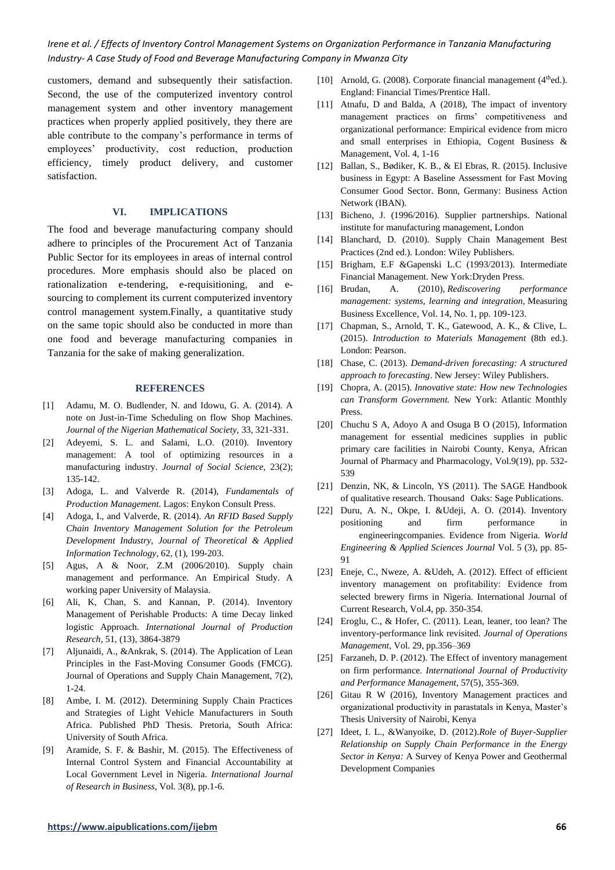customers, demand and subsequently their satisfaction. Second, the use of the computerized inventory control management system and other inventory management practices when properly applied positively, they there are able contribute to the company's performance in terms of employees' productivity, cost reduction, production efficiency, timely product delivery, and customer satisfaction.

## **VI. IMPLICATIONS**

The food and beverage manufacturing company should adhere to principles of the Procurement Act of Tanzania Public Sector for its employees in areas of internal control procedures. More emphasis should also be placed on rationalization e-tendering, e-requisitioning, and esourcing to complement its current computerized inventory control management system.Finally, a quantitative study on the same topic should also be conducted in more than one food and beverage manufacturing companies in Tanzania for the sake of making generalization.

#### **REFERENCES**

- [1] Adamu, M. O. Budlender, N. and Idowu, G. A. (2014). A note on Just-in-Time Scheduling on flow Shop Machines. *Journal of the Nigerian Mathematical Society,* 33, 321-331.
- [2] Adeyemi, S. L. and Salami, L.O. (2010). Inventory management: A tool of optimizing resources in a manufacturing industry. *Journal of Social Science,* 23(2); 135-142.
- [3] Adoga, L. and Valverde R. (2014), *Fundamentals of Production Management.* Lagos: Enykon Consult Press.
- [4] Adoga, I., and Valverde, R. (2014). *An RFID Based Supply Chain Inventory Management Solution for the Petroleum Development Industry*, *Journal of Theoretical & Applied Information Technology*, 62, (1), 199-203.
- [5] Agus, A & Noor, Z.M (2006/2010). Supply chain management and performance. An Empirical Study. A working paper University of Malaysia.
- [6] Ali, K, Chan, S. and Kannan, P. (2014). Inventory Management of Perishable Products: A time Decay linked logistic Approach. *International Journal of Production Research*, 51, (13), 3864-3879
- [7] Aljunaidi, A., &Ankrak, S. (2014). The Application of Lean Principles in the Fast-Moving Consumer Goods (FMCG). Journal of Operations and Supply Chain Management, 7(2), 1-24.
- [8] Ambe, I. M. (2012). Determining Supply Chain Practices and Strategies of Light Vehicle Manufacturers in South Africa. Published PhD Thesis. Pretoria, South Africa: University of South Africa.
- [9] Aramide, S. F. & Bashir, M. (2015). The Effectiveness of Internal Control System and Financial Accountability at Local Government Level in Nigeria. *International Journal of Research in Business*, Vol. 3(8), pp.1-6.
- [10] Arnold, G. (2008). Corporate financial management ( $4<sup>th</sup>$ ed.). England: Financial Times/Prentice Hall.
- [11] Atnafu, D and Balda, A (2018), The impact of inventory management practices on firms' competitiveness and organizational performance: Empirical evidence from micro and small enterprises in Ethiopia, Cogent Business & Management, Vol. 4, 1-16
- [12] Ballan, S., Bødiker, K. B., & El Ebras, R. (2015). Inclusive business in Egypt: A Baseline Assessment for Fast Moving Consumer Good Sector. Bonn, Germany: Business Action Network (IBAN).
- [13] Bicheno, J. (1996/2016). Supplier partnerships. National institute for manufacturing management, London
- [14] Blanchard, D. (2010). Supply Chain Management Best Practices (2nd ed.). London: Wiley Publishers.
- [15] Brigham, E.F &Gapenski L.C (1993/2013). Intermediate Financial Management. New York:Dryden Press.
- [16] Brudan, A. (2010), *Rediscovering performance management: systems, learning and integration,* Measuring Business Excellence, Vol. 14, No. 1, pp. 109-123.
- [17] Chapman, S., Arnold, T. K., Gatewood, A. K., & Clive, L. (2015). *Introduction to Materials Management* (8th ed.). London: Pearson.
- [18] Chase, C. (2013). *Demand-driven forecasting: A structured approach to forecasting*. New Jersey: Wiley Publishers.
- [19] Chopra, A. (2015). *Innovative state: How new Technologies can Transform Government.* New York: Atlantic Monthly Press.
- [20] Chuchu S A, Adoyo A and Osuga B O (2015), Information management for essential medicines supplies in public primary care facilities in Nairobi County, Kenya, African Journal of Pharmacy and Pharmacology, Vol.9(19), pp. 532- 539
- [21] Denzin, NK, & Lincoln, YS (2011). The SAGE Handbook of qualitative research. Thousand Oaks: Sage Publications.
- [22] Duru, A. N., Okpe, I. &Udeji, A. O. (2014). Inventory positioning and firm performance in engineeringcompanies. Evidence from Nigeria. *World Engineering & Applied Sciences Journal* Vol. 5 (3), pp. 85-  $Q<sub>1</sub>$
- [23] Eneje, C., Nweze, A. &Udeh, A. (2012). Effect of efficient inventory management on profitability: Evidence from selected brewery firms in Nigeria. International Journal of Current Research, Vol.4, pp. 350-354.
- [24] Eroglu, C., & Hofer, C. (2011). Lean, leaner, too lean? The inventory-performance link revisited. *Journal of Operations Management*, Vol. 29, pp.356–369
- [25] Farzaneh, D. P. (2012). The Effect of inventory management on firm performance. *International Journal of Productivity and Performance Management*, 57(5), 355-369.
- [26] Gitau R W (2016), Inventory Management practices and organizational productivity in parastatals in Kenya, Master's Thesis University of Nairobi, Kenya
- [27] Ideet, I. L., &Wanyoike, D. (2012).*Role of Buyer-Supplier Relationship on Supply Chain Performance in the Energy Sector in Kenya:* A Survey of Kenya Power and Geothermal Development Companies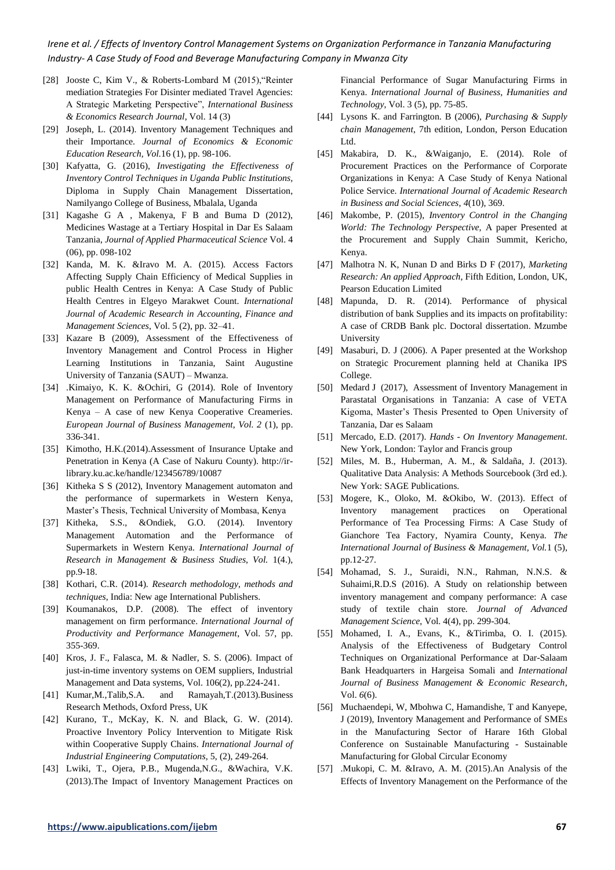- [28] Jooste C, Kim V., & Roberts-Lombard M (2015),"Reinter mediation Strategies For Disinter mediated Travel Agencies: A Strategic Marketing Perspective", *International Business & Economics Research Journal*, Vol. 14 (3)
- [29] Joseph, L. (2014). Inventory Management Techniques and their Importance. *Journal of Economics & Economic Education Research, Vol.*16 (1), pp. 98-106.
- [30] Kafyatta, G. (2016), *Investigating the Effectiveness of Inventory Control Techniques in Uganda Public Institutions,*  Diploma in Supply Chain Management Dissertation, Namilyango College of Business, Mbalala, Uganda
- [31] Kagashe G A , Makenya, F B and Buma D (2012), Medicines Wastage at a Tertiary Hospital in Dar Es Salaam Tanzania, *Journal of Applied Pharmaceutical Science* Vol. 4 (06), pp. 098-102
- [32] Kanda, M. K. &Iravo M. A. (2015). Access Factors Affecting Supply Chain Efficiency of Medical Supplies in public Health Centres in Kenya: A Case Study of Public Health Centres in Elgeyo Marakwet Count. *International Journal of Academic Research in Accounting, Finance and Management Sciences*, Vol. 5 (2), pp. 32–41.
- [33] Kazare B (2009), Assessment of the Effectiveness of Inventory Management and Control Process in Higher Learning Institutions in Tanzania, Saint Augustine University of Tanzania (SAUT) – Mwanza.
- [34] .Kimaiyo, K. K. &Ochiri, G (2014). Role of Inventory Management on Performance of Manufacturing Firms in Kenya – A case of new Kenya Cooperative Creameries. *European Journal of Business Management, Vol. 2* (1), pp. 336-341.
- [35] Kimotho, H.K.(2014).Assessment of Insurance Uptake and Penetration in Kenya (A Case of Nakuru County). http://irlibrary.ku.ac.ke/handle/123456789/10087
- [36] Kitheka S S (2012), Inventory Management automaton and the performance of supermarkets in Western Kenya, Master's Thesis, Technical University of Mombasa, Kenya
- [37] Kitheka, S.S., &Ondiek, G.O. (2014). Inventory Management Automation and the Performance of Supermarkets in Western Kenya. *International Journal of Research in Management & Business Studies, Vol.* 1(4.), pp.9-18.
- [38] Kothari, C.R. (2014). *Research methodology, methods and techniques*, India: New age International Publishers.
- [39] Koumanakos, D.P. (2008). The effect of inventory management on firm performance. *International Journal of Productivity and Performance Management*, Vol. 57, pp. 355-369.
- [40] Kros, J. F., Falasca, M. & Nadler, S. S. (2006). Impact of just-in-time inventory systems on OEM suppliers, Industrial Management and Data systems, Vol. 106(2), pp.224-241.
- [41] Kumar,M.,Talib,S.A. and Ramayah,T.(2013).Business Research Methods, Oxford Press, UK
- [42] Kurano, T., McKay, K. N. and Black, G. W. (2014). Proactive Inventory Policy Intervention to Mitigate Risk within Cooperative Supply Chains. *International Journal of Industrial Engineering Computations*, 5, (2), 249-264.
- [43] Lwiki, T., Ojera, P.B., Mugenda,N.G., &Wachira, V.K. (2013).The Impact of Inventory Management Practices on

Financial Performance of Sugar Manufacturing Firms in Kenya. *International Journal of Business, Humanities and Technology*, Vol. 3 (5), pp. 75-85.

- [44] Lysons K. and Farrington. B (2006), *Purchasing & Supply chain Management*, 7th edition, London, Person Education Ltd.
- [45] Makabira, D. K., &Waiganjo, E. (2014). Role of Procurement Practices on the Performance of Corporate Organizations in Kenya: A Case Study of Kenya National Police Service. *International Journal of Academic Research in Business and Social Sciences*, *4*(10), 369.
- [46] Makombe, P. (2015), *Inventory Control in the Changing World: The Technology Perspective,* A paper Presented at the Procurement and Supply Chain Summit, Kericho, Kenya.
- [47] Malhotra N. K, Nunan D and Birks D F (2017), *Marketing Research: An applied Approach*, Fifth Edition, London, UK, Pearson Education Limited
- [48] Mapunda, D. R. (2014). Performance of physical distribution of bank Supplies and its impacts on profitability: A case of CRDB Bank plc. Doctoral dissertation. Mzumbe University
- [49] Masaburi, D. J (2006). A Paper presented at the Workshop on Strategic Procurement planning held at Chanika IPS College.
- [50] Medard J (2017), Assessment of Inventory Management in Parastatal Organisations in Tanzania: A case of VETA Kigoma, Master's Thesis Presented to Open University of Tanzania, Dar es Salaam
- [51] Mercado, E.D. (2017). *Hands - On Inventory Management*. New York, London: Taylor and Francis group
- [52] Miles, M. B., Huberman, A. M., & Saldaña, J. (2013). Qualitative Data Analysis: A Methods Sourcebook (3rd ed.). New York: SAGE Publications.
- [53] Mogere, K., Oloko, M. &Okibo, W. (2013). Effect of Inventory management practices on Operational Performance of Tea Processing Firms: A Case Study of Gianchore Tea Factory, Nyamira County, Kenya. *The International Journal of Business & Management, Vol.*1 (5), pp.12-27.
- [54] Mohamad, S. J., Suraidi, N.N., Rahman, N.N.S. & Suhaimi,R.D.S (2016). A Study on relationship between inventory management and company performance: A case study of textile chain store. *Journal of Advanced Management Science*, Vol. 4(4), pp. 299-304.
- [55] Mohamed, I. A., Evans, K., &Tirimba, O. I. (2015). Analysis of the Effectiveness of Budgetary Control Techniques on Organizational Performance at Dar-Salaam Bank Headquarters in Hargeisa Somali and *International Journal of Business Management & Economic Research*, Vol. *6*(6).
- [56] Muchaendepi, W, Mbohwa C, Hamandishe, T and Kanyepe, J (2019), Inventory Management and Performance of SMEs in the Manufacturing Sector of Harare 16th Global Conference on Sustainable Manufacturing - Sustainable Manufacturing for Global Circular Economy
- [57] .Mukopi, C. M. &Iravo, A. M. (2015).An Analysis of the Effects of Inventory Management on the Performance of the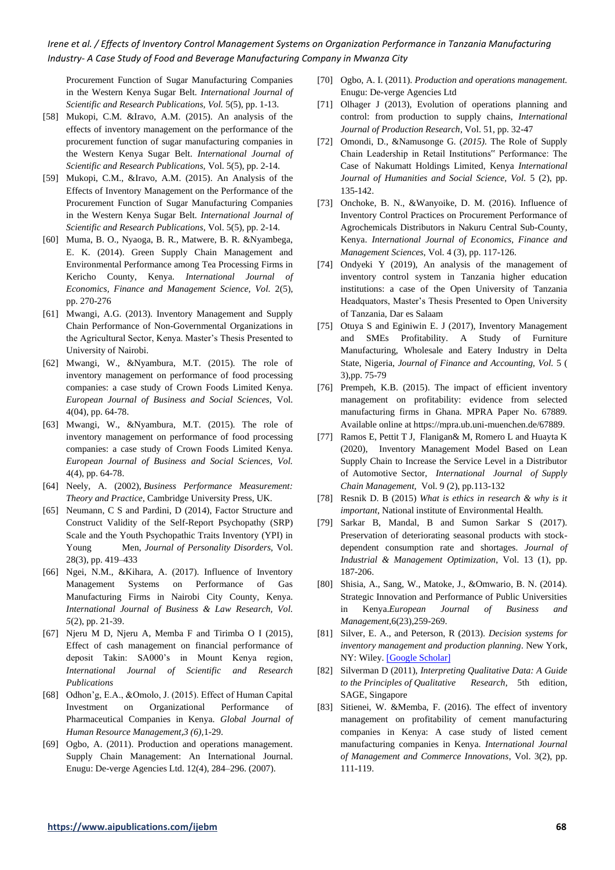Procurement Function of Sugar Manufacturing Companies in the Western Kenya Sugar Belt. *International Journal of Scientific and Research Publications, Vol.* 5(5), pp. 1-13.

- [58] Mukopi, C.M. &Iravo, A.M. (2015). An analysis of the effects of inventory management on the performance of the procurement function of sugar manufacturing companies in the Western Kenya Sugar Belt. *International Journal of Scientific and Research Publications,* Vol. 5(5), pp. 2-14.
- [59] Mukopi, C.M., &Iravo, A.M. (2015). An Analysis of the Effects of Inventory Management on the Performance of the Procurement Function of Sugar Manufacturing Companies in the Western Kenya Sugar Belt. *International Journal of Scientific and Research Publications*, Vol. 5(5), pp. 2-14.
- [60] Muma, B. O., Nyaoga, B. R., Matwere, B. R. &Nyambega, E. K. (2014). Green Supply Chain Management and Environmental Performance among Tea Processing Firms in Kericho County, Kenya. *International Journal of Economics, Finance and Management Science, Vol.* 2(5), pp. 270-276
- [61] Mwangi, A.G. (2013). Inventory Management and Supply Chain Performance of Non-Governmental Organizations in the Agricultural Sector, Kenya. Master's Thesis Presented to University of Nairobi.
- [62] Mwangi, W., &Nyambura, M.T. (2015). The role of inventory management on performance of food processing companies: a case study of Crown Foods Limited Kenya. *European Journal of Business and Social Sciences,* Vol. 4(04), pp. 64-78.
- [63] Mwangi, W., &Nyambura, M.T. (2015). The role of inventory management on performance of food processing companies: a case study of Crown Foods Limited Kenya. *European Journal of Business and Social Sciences, Vol.*  4(4), pp. 64-78.
- [64] Neely, A. (2002), *Business Performance Measurement: Theory and Practice*, Cambridge University Press, UK.
- [65] Neumann, C S and Pardini, D (2014), Factor Structure and Construct Validity of the Self-Report Psychopathy (SRP) Scale and the Youth Psychopathic Traits Inventory (YPI) in Young Men, *Journal of Personality Disorders,* Vol. 28(3), pp. 419–433
- [66] Ngei, N.M., &Kihara, A. (2017). Influence of Inventory Management Systems on Performance of Gas Manufacturing Firms in Nairobi City County, Kenya. *International Journal of Business & Law Research, Vol. 5*(2), pp. 21-39.
- [67] Njeru M D, Njeru A, Memba F and Tirimba O I (2015), Effect of cash management on financial performance of deposit Takin: SA000's in Mount Kenya region, *International Journal of Scientific and Research Publications*
- [68] Odhon'g, E.A., &Omolo, J. (2015). Effect of Human Capital Investment on Organizational Performance of Pharmaceutical Companies in Kenya. *Global Journal of Human Resource Management,3 (6)*,1-29.
- [69] Ogbo, A. (2011). Production and operations management. Supply Chain Management: An International Journal. Enugu: De-verge Agencies Ltd. 12(4), 284–296. (2007).
- [70] Ogbo, A. I. (2011). *Production and operations management.*  Enugu: De-verge Agencies Ltd
- [71] Olhager J (2013), Evolution of operations planning and control: from production to supply chains, *International Journal of Production Research*, Vol. 51, pp. 32-47
- [72] Omondi, D., &Namusonge G. (*2015).* The Role of Supply Chain Leadership in Retail Institutions" Performance: The Case of Nakumatt Holdings Limited, Kenya *International Journal of Humanities and Social Science, Vol.* 5 (2), pp. 135-142.
- [73] Onchoke, B. N., &Wanyoike, D. M. (2016). Influence of Inventory Control Practices on Procurement Performance of Agrochemicals Distributors in Nakuru Central Sub-County, Kenya. *International Journal of Economics, Finance and Management Sciences*, Vol. 4 (3), pp. 117-126.
- [74] Ondyeki Y (2019), An analysis of the management of inventory control system in Tanzania higher education institutions: a case of the Open University of Tanzania Headquators, Master's Thesis Presented to Open University of Tanzania, Dar es Salaam
- [75] Otuya S and Eginiwin E. J (2017), Inventory Management and SMEs Profitability. A Study of Furniture Manufacturing, Wholesale and Eatery Industry in Delta State, Nigeria, *Journal of Finance and Accounting, Vol.* 5 ( 3),pp. 75-79
- [76] Prempeh, K.B. (2015). The impact of efficient inventory management on profitability: evidence from selected manufacturing firms in Ghana. MPRA Paper No. 67889. Available online at https://mpra.ub.uni-muenchen.de/67889.
- [77] Ramos E, Pettit T J, Flanigan& M, Romero L and Huayta K (2020), Inventory Management Model Based on Lean Supply Chain to Increase the Service Level in a Distributor of Automotive Sector, *International Journal of Supply Chain Management,* Vol. 9 (2), pp.113-132
- [78] Resnik D. B (2015) *What is ethics in research & why is it important*, National institute of Environmental Health.
- [79] Sarkar B, Mandal, B and Sumon Sarkar S (2017). Preservation of deteriorating seasonal products with stockdependent consumption rate and shortages. *Journal of Industrial & Management Optimization*, Vol. 13 (1), pp. 187-206.
- [80] Shisia, A., Sang, W., Matoke, J., &Omwario, B. N. (2014). Strategic Innovation and Performance of Public Universities in Kenya.*European Journal of Business and Management*,6(23),259-269.
- [81] Silver, E. A., and Peterson, R (2013). *Decision systems for inventory management and production planning*. New York, NY: Wiley. [\[Google Scholar\]](http://scholar.google.com/scholar_lookup?hl=en&publication_year=1979&author=E.+A.+Silver&author=R.+Peterson&title=Decision+systems+for+inventory+management+and+production+planning)
- [82] Silverman D (2011), *Interpreting Qualitative Data: A Guide to the Principles of Qualitative Research*, 5th edition, SAGE, Singapore
- [83] Sitienei, W. &Memba, F. (2016). The effect of inventory management on profitability of cement manufacturing companies in Kenya: A case study of listed cement manufacturing companies in Kenya. *International Journal of Management and Commerce Innovations*, Vol. 3(2), pp. 111-119.